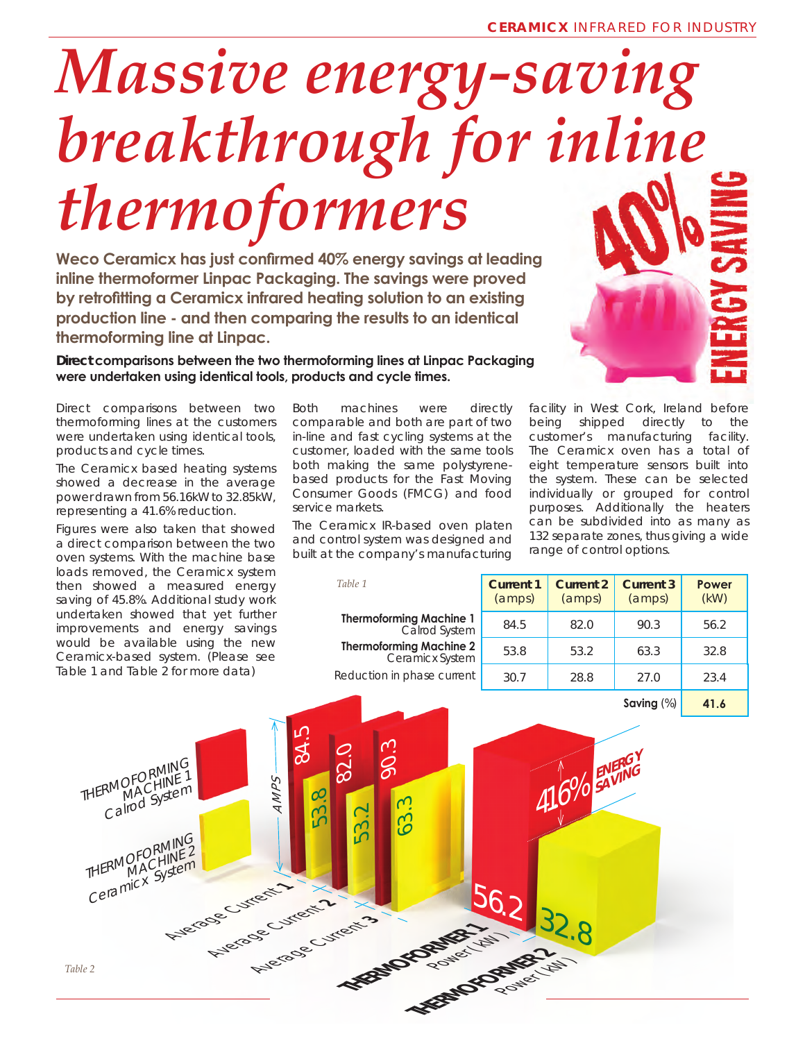## *Massive energy-saving breakthrough for inline thermoformers*

**Weco Ceramicx has just confirmed 40% energy savings at leading inline thermoformer Linpac Packaging. The savings were proved by retrofitting a Ceramicx infrared heating solution to an existing production line - and then comparing the results to an identical thermoforming line at Linpac.** 

## **Direct comparisons between the two thermoforming lines at Linpac Packaging were undertaken using identical tools, products and cycle times.**

Direct comparisons between two thermoforming lines at the customers were undertaken using identical tools, products and cycle times.

The Ceramicx based heating systems showed a decrease in the average power drawn from 56.16kW to 32.85kW, representing a 41.6% reduction.

Figures were also taken that showed a direct comparison between the two oven systems. With the machine base loads removed, the Ceramicx system then showed a measured energy saving of 45.8%. Additional study work undertaken showed that yet further improvements and energy savings would be available using the new Ceramicx-based system. (*Please see Table 1 and Table 2 for more data*)

Both machines were directly comparable and both are part of two in-line and fast cycling systems at the customer, loaded with the same tools both making the same polystyrenebased products for the Fast Moving Consumer Goods (FMCG) and food service markets.

The Ceramicx IR-based oven platen and control system was designed and built at the company's manufacturing facility in West Cork, Ireland before being shipped directly to the customer's manufacturing facility. The Ceramicx oven has a total of eight temperature sensors built into the system. These can be selected individually or grouped for control purposes. Additionally the heaters can be subdivided into as many as 132 separate zones, thus giving a wide range of control options.